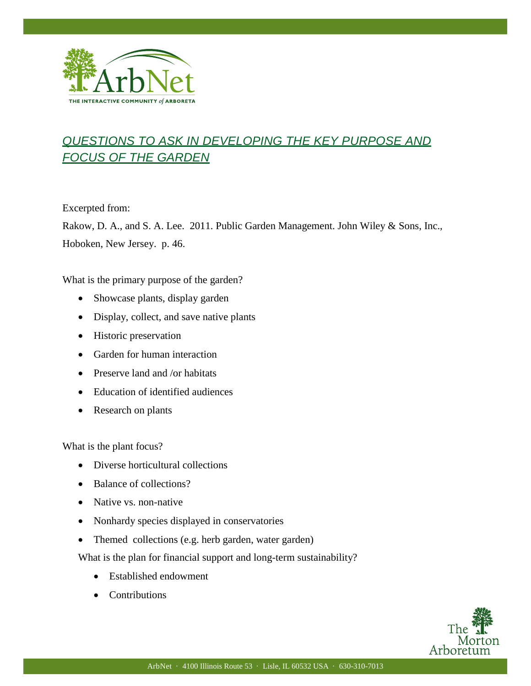

## *QUESTIONS TO ASK IN DEVELOPING THE KEY PURPOSE AND FOCUS OF THE GARDEN*

Excerpted from:

I

Rakow, D. A., and S. A. Lee. 2011. Public Garden Management. John Wiley & Sons, Inc., Hoboken, New Jersey. p. 46.

What is the primary purpose of the garden?

- Showcase plants, display garden
- Display, collect, and save native plants
- Historic preservation
- Garden for human interaction
- Preserve land and /or habitats
- Education of identified audiences
- Research on plants

What is the plant focus?

- Diverse horticultural collections
- Balance of collections?
- Native vs. non-native
- Nonhardy species displayed in conservatories
- Themed collections (e.g. herb garden, water garden)

What is the plan for financial support and long-term sustainability?

- Established endowment
- Contributions